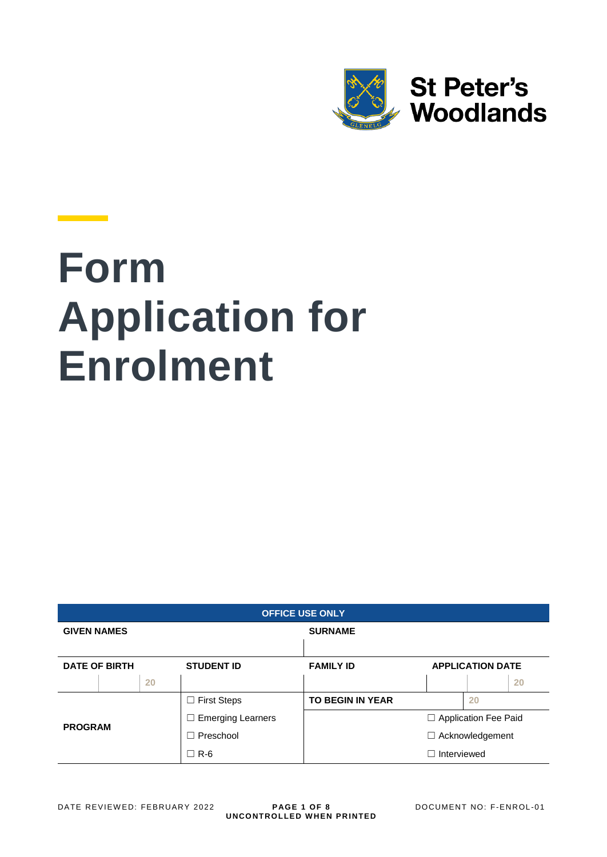

# **Form Application for Enrolment**

| <b>OFFICE USE ONLY</b> |    |                          |                         |                         |    |           |  |
|------------------------|----|--------------------------|-------------------------|-------------------------|----|-----------|--|
| <b>GIVEN NAMES</b>     |    |                          | <b>SURNAME</b>          |                         |    |           |  |
|                        |    |                          |                         |                         |    |           |  |
| <b>DATE OF BIRTH</b>   |    | <b>STUDENT ID</b>        | <b>FAMILY ID</b>        | <b>APPLICATION DATE</b> |    |           |  |
|                        | 20 |                          |                         |                         |    | <b>20</b> |  |
|                        |    | □ First Steps            | <b>TO BEGIN IN YEAR</b> |                         | 20 |           |  |
| <b>PROGRAM</b>         |    | $\Box$ Emerging Learners | □ Application Fee Paid  |                         |    |           |  |
|                        |    | $\Box$ Preschool         | $\Box$ Acknowledgement  |                         |    |           |  |
|                        |    | $\Box$ R-6               |                         | $\Box$ Interviewed      |    |           |  |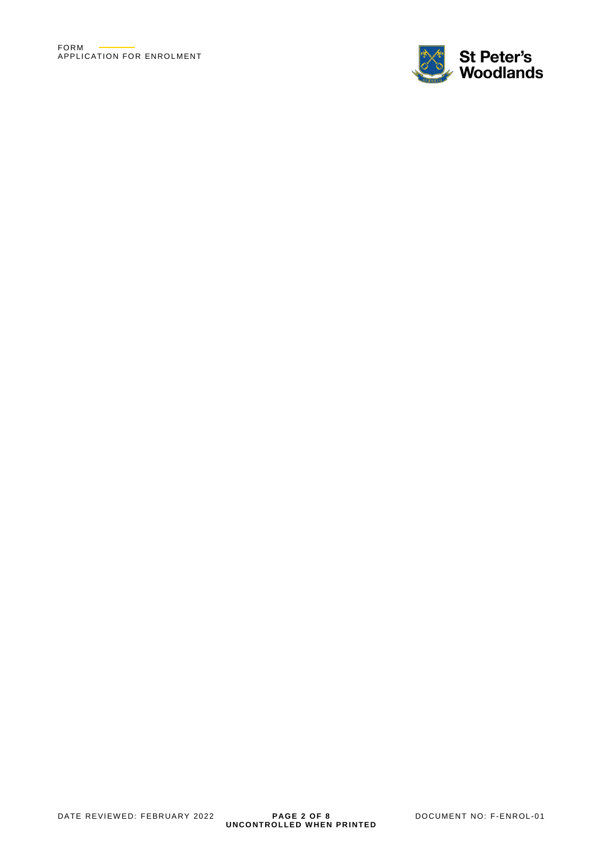FORM APPLICATION FOR ENROLMENT

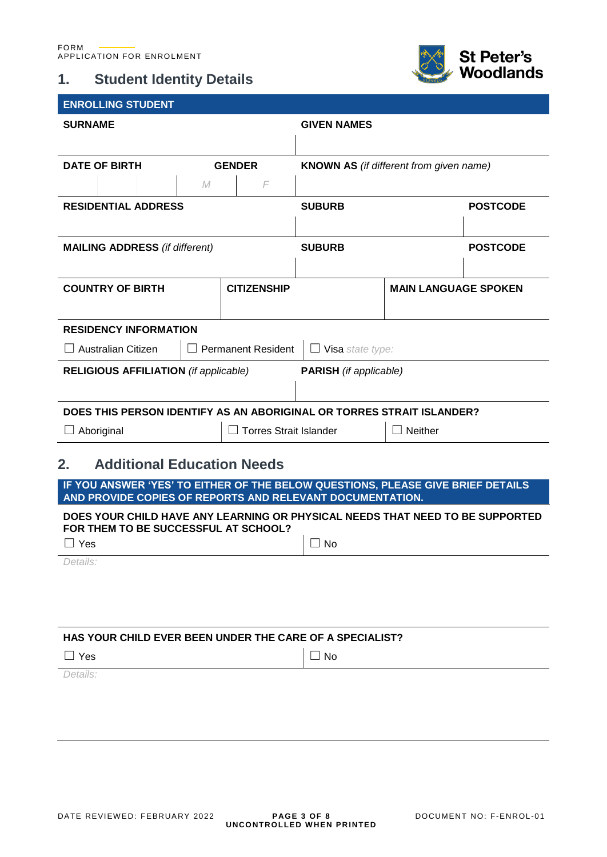# **1. Student Identity Details**



| <b>ENROLLING STUDENT</b>                                                                                                                     |   |                             |                                                |                |                 |  |
|----------------------------------------------------------------------------------------------------------------------------------------------|---|-----------------------------|------------------------------------------------|----------------|-----------------|--|
| <b>SURNAME</b>                                                                                                                               |   |                             | <b>GIVEN NAMES</b>                             |                |                 |  |
|                                                                                                                                              |   |                             |                                                |                |                 |  |
| <b>DATE OF BIRTH</b>                                                                                                                         |   | <b>GENDER</b>               | <b>KNOWN AS</b> (if different from given name) |                |                 |  |
|                                                                                                                                              | M | F                           |                                                |                |                 |  |
| <b>RESIDENTIAL ADDRESS</b>                                                                                                                   |   |                             | <b>SUBURB</b>                                  |                | <b>POSTCODE</b> |  |
| <b>MAILING ADDRESS (if different)</b>                                                                                                        |   |                             | <b>SUBURB</b>                                  |                | <b>POSTCODE</b> |  |
| <b>COUNTRY OF BIRTH</b><br><b>CITIZENSHIP</b>                                                                                                |   | <b>MAIN LANGUAGE SPOKEN</b> |                                                |                |                 |  |
| <b>RESIDENCY INFORMATION</b>                                                                                                                 |   |                             |                                                |                |                 |  |
| $\Box$ Australian Citizen                                                                                                                    |   | <b>Permanent Resident</b>   | $\Box$ Visa state type:                        |                |                 |  |
| <b>RELIGIOUS AFFILIATION</b> (if applicable)                                                                                                 |   |                             | <b>PARISH</b> (if applicable)                  |                |                 |  |
|                                                                                                                                              |   |                             |                                                |                |                 |  |
| DOES THIS PERSON IDENTIFY AS AN ABORIGINAL OR TORRES STRAIT ISLANDER?                                                                        |   |                             |                                                |                |                 |  |
| $\Box$ Aboriginal                                                                                                                            |   | ⊥ Torres Strait Islander    |                                                | $\Box$ Neither |                 |  |
| <b>Additional Education Needs</b><br>2.                                                                                                      |   |                             |                                                |                |                 |  |
| IF YOU ANSWER 'YES' TO EITHER OF THE BELOW QUESTIONS, PLEASE GIVE BRIEF DETAILS<br>AND PROVIDE COPIES OF REPORTS AND RELEVANT DOCUMENTATION. |   |                             |                                                |                |                 |  |
| DOES YOUR CHILD HAVE ANY LEARNING OR PHYSICAL NEEDS THAT NEED TO BE SUPPORTED<br>FOR THEM TO BE SUCCESSFUL AT SCHOOL?                        |   |                             |                                                |                |                 |  |
| $\Box$ Yes                                                                                                                                   |   |                             | $\square$ No                                   |                |                 |  |
| Details:                                                                                                                                     |   |                             |                                                |                |                 |  |
|                                                                                                                                              |   |                             |                                                |                |                 |  |
|                                                                                                                                              |   |                             |                                                |                |                 |  |

| <b>HAS YOUR CHILD EVER BEEN UNDER THE CARE OF A SPECIALIST?</b> |      |  |  |  |  |  |
|-----------------------------------------------------------------|------|--|--|--|--|--|
| ∣ ∣ Yes                                                         | ` No |  |  |  |  |  |
| Details:                                                        |      |  |  |  |  |  |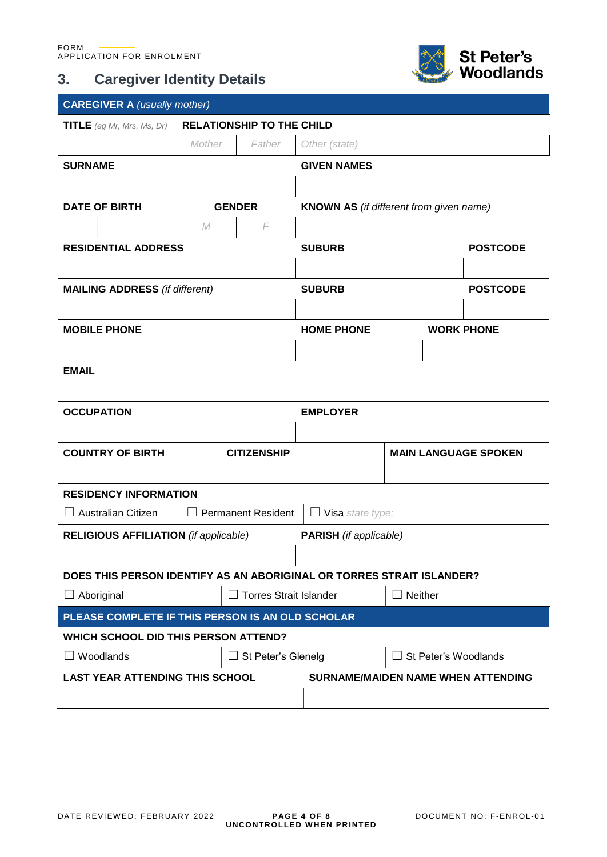



| <b>CAREGIVER A (usually mother)</b>                                   |        |                                  |                                                |                             |                   |
|-----------------------------------------------------------------------|--------|----------------------------------|------------------------------------------------|-----------------------------|-------------------|
| <b>TITLE</b> (eg Mr, Mrs, Ms, Dr)                                     |        | <b>RELATIONSHIP TO THE CHILD</b> |                                                |                             |                   |
|                                                                       | Mother | Father                           | Other (state)                                  |                             |                   |
| <b>SURNAME</b>                                                        |        |                                  | <b>GIVEN NAMES</b>                             |                             |                   |
|                                                                       |        |                                  |                                                |                             |                   |
| <b>DATE OF BIRTH</b>                                                  |        | <b>GENDER</b>                    | <b>KNOWN AS</b> (if different from given name) |                             |                   |
|                                                                       | M      | F                                |                                                |                             |                   |
| <b>RESIDENTIAL ADDRESS</b>                                            |        |                                  | <b>SUBURB</b>                                  |                             | <b>POSTCODE</b>   |
|                                                                       |        |                                  |                                                |                             |                   |
| <b>MAILING ADDRESS</b> (if different)                                 |        |                                  | <b>SUBURB</b>                                  |                             | <b>POSTCODE</b>   |
|                                                                       |        |                                  |                                                |                             |                   |
| <b>MOBILE PHONE</b>                                                   |        |                                  | <b>HOME PHONE</b>                              |                             | <b>WORK PHONE</b> |
|                                                                       |        |                                  |                                                |                             |                   |
| <b>EMAIL</b>                                                          |        |                                  |                                                |                             |                   |
|                                                                       |        |                                  |                                                |                             |                   |
| <b>OCCUPATION</b>                                                     |        |                                  | <b>EMPLOYER</b>                                |                             |                   |
|                                                                       |        |                                  |                                                |                             |                   |
| <b>COUNTRY OF BIRTH</b>                                               |        | <b>CITIZENSHIP</b>               |                                                | <b>MAIN LANGUAGE SPOKEN</b> |                   |
|                                                                       |        |                                  |                                                |                             |                   |
| <b>RESIDENCY INFORMATION</b>                                          |        |                                  |                                                |                             |                   |
| Australian Citizen                                                    |        | <b>Permanent Resident</b>        | $\Box$ Visa state type:                        |                             |                   |
| <b>RELIGIOUS AFFILIATION</b> (if applicable)                          |        |                                  | <b>PARISH</b> (if applicable)                  |                             |                   |
|                                                                       |        |                                  |                                                |                             |                   |
| DOES THIS PERSON IDENTIFY AS AN ABORIGINAL OR TORRES STRAIT ISLANDER? |        |                                  |                                                |                             |                   |
| Aboriginal                                                            |        | Torres Strait Islander           |                                                | Neither                     |                   |
| PLEASE COMPLETE IF THIS PERSON IS AN OLD SCHOLAR                      |        |                                  |                                                |                             |                   |
| WHICH SCHOOL DID THIS PERSON ATTEND?                                  |        |                                  |                                                |                             |                   |
| Woodlands                                                             |        | St Peter's Glenelg               |                                                | St Peter's Woodlands        |                   |
| <b>LAST YEAR ATTENDING THIS SCHOOL</b>                                |        |                                  | <b>SURNAME/MAIDEN NAME WHEN ATTENDING</b>      |                             |                   |
|                                                                       |        |                                  |                                                |                             |                   |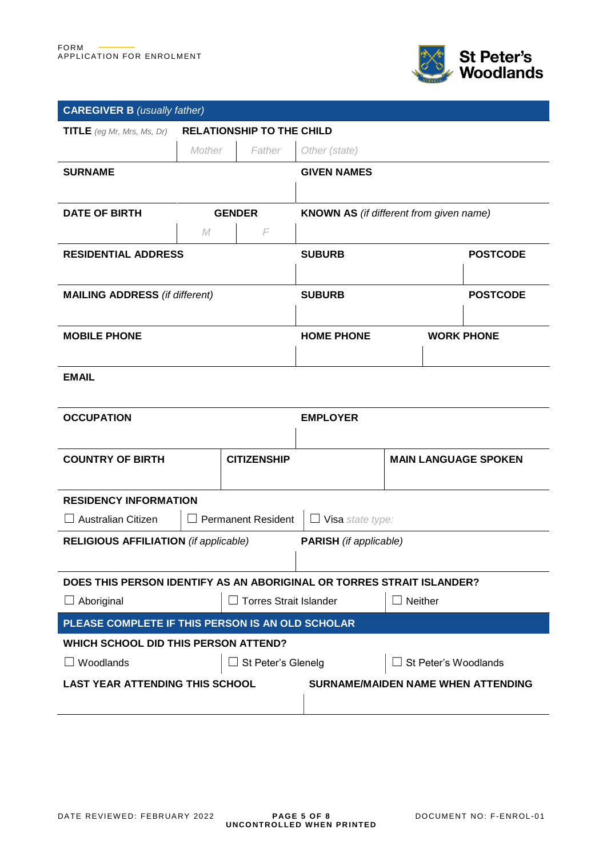

| <b>CAREGIVER B</b> (usually father)                |        |                                  |                                                                                  |                             |                                           |  |
|----------------------------------------------------|--------|----------------------------------|----------------------------------------------------------------------------------|-----------------------------|-------------------------------------------|--|
| <b>TITLE</b> (eg Mr, Mrs, Ms, Dr)                  |        | <b>RELATIONSHIP TO THE CHILD</b> |                                                                                  |                             |                                           |  |
|                                                    | Mother | Father                           | Other (state)                                                                    |                             |                                           |  |
| <b>SURNAME</b>                                     |        |                                  | <b>GIVEN NAMES</b>                                                               |                             |                                           |  |
|                                                    |        |                                  |                                                                                  |                             |                                           |  |
| <b>DATE OF BIRTH</b>                               |        | <b>GENDER</b>                    | <b>KNOWN AS</b> (if different from given name)                                   |                             |                                           |  |
|                                                    | M      | F                                |                                                                                  |                             |                                           |  |
| <b>RESIDENTIAL ADDRESS</b>                         |        |                                  | <b>SUBURB</b>                                                                    |                             | <b>POSTCODE</b>                           |  |
|                                                    |        |                                  |                                                                                  |                             |                                           |  |
| <b>MAILING ADDRESS</b> (if different)              |        |                                  | <b>SUBURB</b>                                                                    |                             | <b>POSTCODE</b>                           |  |
|                                                    |        |                                  |                                                                                  |                             |                                           |  |
| <b>MOBILE PHONE</b>                                |        |                                  | <b>HOME PHONE</b>                                                                |                             | <b>WORK PHONE</b>                         |  |
|                                                    |        |                                  |                                                                                  |                             |                                           |  |
| <b>EMAIL</b>                                       |        |                                  |                                                                                  |                             |                                           |  |
|                                                    |        |                                  |                                                                                  |                             |                                           |  |
| <b>OCCUPATION</b>                                  |        |                                  | <b>EMPLOYER</b>                                                                  |                             |                                           |  |
|                                                    |        |                                  |                                                                                  |                             |                                           |  |
| <b>COUNTRY OF BIRTH</b>                            |        | <b>CITIZENSHIP</b>               |                                                                                  | <b>MAIN LANGUAGE SPOKEN</b> |                                           |  |
|                                                    |        |                                  |                                                                                  |                             |                                           |  |
| <b>RESIDENCY INFORMATION</b><br>Australian Citizen |        | <b>Permanent Resident</b>        | Visa state type:                                                                 |                             |                                           |  |
|                                                    |        |                                  |                                                                                  |                             |                                           |  |
| <b>RELIGIOUS AFFILIATION</b> (if applicable)       |        |                                  | <b>PARISH</b> (if applicable)                                                    |                             |                                           |  |
|                                                    |        |                                  |                                                                                  |                             |                                           |  |
| Aboriginal                                         |        | $\exists$ Torres Strait Islander | DOES THIS PERSON IDENTIFY AS AN ABORIGINAL OR TORRES STRAIT ISLANDER?<br>Neither |                             |                                           |  |
| PLEASE COMPLETE IF THIS PERSON IS AN OLD SCHOLAR   |        |                                  |                                                                                  |                             |                                           |  |
| WHICH SCHOOL DID THIS PERSON ATTEND?               |        |                                  |                                                                                  |                             |                                           |  |
| $\Box$ Woodlands                                   |        | St Peter's Glenelg               |                                                                                  |                             | St Peter's Woodlands                      |  |
| <b>LAST YEAR ATTENDING THIS SCHOOL</b>             |        |                                  |                                                                                  |                             | <b>SURNAME/MAIDEN NAME WHEN ATTENDING</b> |  |
|                                                    |        |                                  |                                                                                  |                             |                                           |  |
|                                                    |        |                                  |                                                                                  |                             |                                           |  |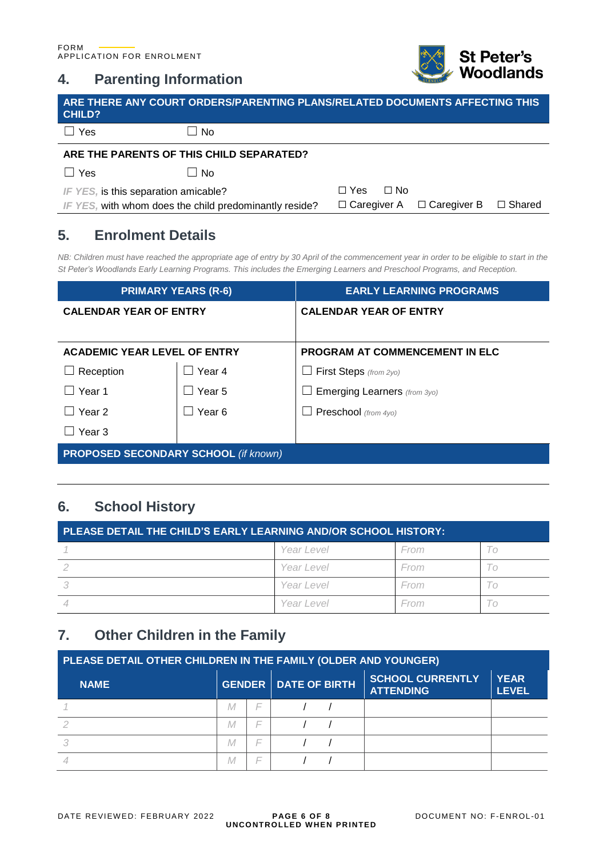

#### **4. Parenting Information**

| CHILD?                               | ARE THERE ANY COURT ORDERS/PARENTING PLANS/RELATED DOCUMENTS AFFECTING THIS |              |           |                                       |               |
|--------------------------------------|-----------------------------------------------------------------------------|--------------|-----------|---------------------------------------|---------------|
| $\sqcup$ Yes                         | $\sqcup$ No                                                                 |              |           |                                       |               |
|                                      | ARE THE PARENTS OF THIS CHILD SEPARATED?                                    |              |           |                                       |               |
| $\Box$ Yes                           | $\Box$ No                                                                   |              |           |                                       |               |
| IF YES, is this separation amicable? |                                                                             | $\sqcap$ Yes | $\Box$ No |                                       |               |
|                                      | IF YES, with whom does the child predominantly reside?                      |              |           | $\Box$ Caregiver A $\Box$ Caregiver B | $\Box$ Shared |
|                                      |                                                                             |              |           |                                       |               |

## **5. Enrolment Details**

*NB: Children must have reached the appropriate age of entry by 30 April of the commencement year in order to be eligible to start in the St Peter's Woodlands Early Learning Programs. This includes the Emerging Learners and Preschool Programs, and Reception.*

| <b>PRIMARY YEARS (R-6)</b>                  |        | <b>EARLY LEARNING PROGRAMS</b>        |  |  |
|---------------------------------------------|--------|---------------------------------------|--|--|
| <b>CALENDAR YEAR OF ENTRY</b>               |        | <b>CALENDAR YEAR OF ENTRY</b>         |  |  |
|                                             |        |                                       |  |  |
| <b>ACADEMIC YEAR LEVEL OF ENTRY</b>         |        | <b>PROGRAM AT COMMENCEMENT IN ELC</b> |  |  |
| Reception                                   | Year 4 | First Steps (from 2yo)                |  |  |
| Year 1                                      | Year 5 | <b>Emerging Learners</b> (from 3yo)   |  |  |
| Year <sub>2</sub>                           | Year 6 | Preschool (from 4yo)                  |  |  |
| Year <sub>3</sub>                           |        |                                       |  |  |
| <b>PROPOSED SECONDARY SCHOOL (if known)</b> |        |                                       |  |  |

# **6. School History**

| <b>PLEASE DETAIL THE CHILD'S EARLY LEARNING AND/OR SCHOOL HISTORY:</b> |            |      |  |  |  |
|------------------------------------------------------------------------|------------|------|--|--|--|
|                                                                        | Year Level | From |  |  |  |
|                                                                        | Year Level | From |  |  |  |
|                                                                        | Year Level | From |  |  |  |
|                                                                        | Year Level | From |  |  |  |

# **7. Other Children in the Family**

| PLEASE DETAIL OTHER CHILDREN IN THE FAMILY (OLDER AND YOUNGER) |   |  |                               |  |                                             |                             |  |
|----------------------------------------------------------------|---|--|-------------------------------|--|---------------------------------------------|-----------------------------|--|
| <b>NAME</b>                                                    |   |  | <b>GENDER   DATE OF BIRTH</b> |  | <b>SCHOOL CURRENTLY</b><br><b>ATTENDING</b> | <b>YEAR</b><br><b>LEVEL</b> |  |
|                                                                | M |  |                               |  |                                             |                             |  |
|                                                                | M |  |                               |  |                                             |                             |  |
|                                                                | M |  |                               |  |                                             |                             |  |
|                                                                | M |  |                               |  |                                             |                             |  |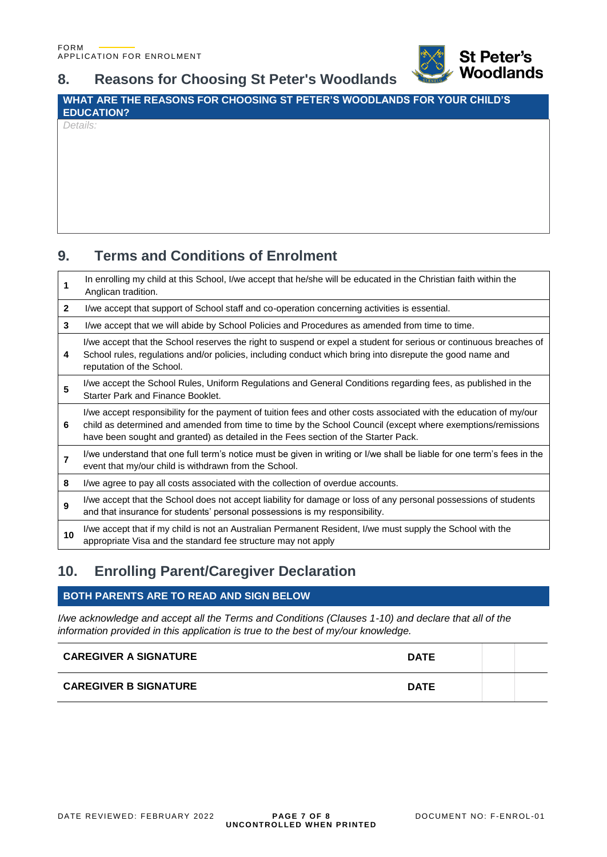

## **8. Reasons for Choosing St Peter's Woodlands**

| WHAT ARE THE REASONS FOR CHOOSING ST PETER'S WOODLANDS FOR YOUR CHILD'S<br><b>EDUCATION?</b> |  |
|----------------------------------------------------------------------------------------------|--|
| Details:                                                                                     |  |
|                                                                                              |  |
|                                                                                              |  |
|                                                                                              |  |
|                                                                                              |  |

## **9. Terms and Conditions of Enrolment**

|              | In enrolling my child at this School, I/we accept that he/she will be educated in the Christian faith within the<br>Anglican tradition.                                                                                                                                                                                 |
|--------------|-------------------------------------------------------------------------------------------------------------------------------------------------------------------------------------------------------------------------------------------------------------------------------------------------------------------------|
| $\mathbf{2}$ | I/we accept that support of School staff and co-operation concerning activities is essential.                                                                                                                                                                                                                           |
| 3            | I/we accept that we will abide by School Policies and Procedures as amended from time to time.                                                                                                                                                                                                                          |
| 4            | I/we accept that the School reserves the right to suspend or expel a student for serious or continuous breaches of<br>School rules, regulations and/or policies, including conduct which bring into disrepute the good name and<br>reputation of the School.                                                            |
| 5            | I/we accept the School Rules, Uniform Regulations and General Conditions regarding fees, as published in the<br>Starter Park and Finance Booklet.                                                                                                                                                                       |
| 6            | I/we accept responsibility for the payment of tuition fees and other costs associated with the education of my/our<br>child as determined and amended from time to time by the School Council (except where exemptions/remissions<br>have been sought and granted) as detailed in the Fees section of the Starter Pack. |
| 7            | I/we understand that one full term's notice must be given in writing or I/we shall be liable for one term's fees in the<br>event that my/our child is withdrawn from the School.                                                                                                                                        |
| 8            | I/we agree to pay all costs associated with the collection of overdue accounts.                                                                                                                                                                                                                                         |
| 9            | I/we accept that the School does not accept liability for damage or loss of any personal possessions of students<br>and that insurance for students' personal possessions is my responsibility.                                                                                                                         |
| 10           | I/we accept that if my child is not an Australian Permanent Resident, I/we must supply the School with the<br>appropriate Visa and the standard fee structure may not apply                                                                                                                                             |

## **10. Enrolling Parent/Caregiver Declaration**

#### **BOTH PARENTS ARE TO READ AND SIGN BELOW**

*I/we acknowledge and accept all the Terms and Conditions (Clauses 1-10) and declare that all of the information provided in this application is true to the best of my/our knowledge.*

| <b>CAREGIVER A SIGNATURE</b> | <b>DATE</b> |  |
|------------------------------|-------------|--|
| <b>CAREGIVER B SIGNATURE</b> | <b>DATE</b> |  |